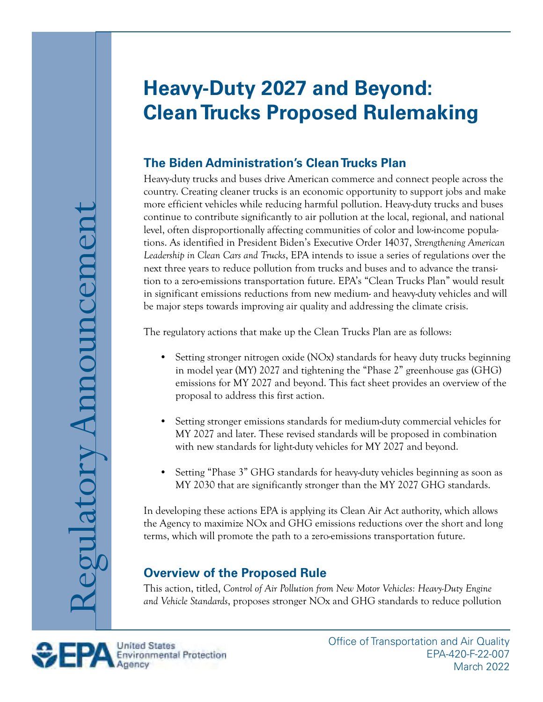# **Heavy-Duty 2027 and Beyond: Clean Trucks Proposed Rulemaking**

# **The Biden Administration's Clean Trucks Plan**

Heavy-duty trucks and buses drive American commerce and connect people across the country. Creating cleaner trucks is an economic opportunity to support jobs and make more efficient vehicles while reducing harmful pollution. Heavy-duty trucks and buses continue to contribute significantly to air pollution at the local, regional, and national level, often disproportionally affecting communities of color and low-income populations. As identified in President Biden's Executive Order 14037, *Strengthening American Leadership in Clean Cars and Trucks*, EPA intends to issue a series of regulations over the next three years to reduce pollution from trucks and buses and to advance the transition to a zero-emissions transportation future. EPA's "Clean Trucks Plan" would result in significant emissions reductions from new medium- and heavy-duty vehicles and will be major steps towards improving air quality and addressing the climate crisis.

The regulatory actions that make up the Clean Trucks Plan are as follows:

- Setting stronger nitrogen oxide (NOx) standards for heavy duty trucks beginning in model year (MY) 2027 and tightening the "Phase 2" greenhouse gas (GHG) emissions for MY 2027 and beyond. This fact sheet provides an overview of the proposal to address this first action.
- Setting stronger emissions standards for medium-duty commercial vehicles for MY 2027 and later. These revised standards will be proposed in combination with new standards for light-duty vehicles for MY 2027 and beyond.
- Setting "Phase 3" GHG standards for heavy-duty vehicles beginning as soon as MY 2030 that are significantly stronger than the MY 2027 GHG standards.

In developing these actions EPA is applying its Clean Air Act authority, which allows the Agency to maximize NOx and GHG emissions reductions over the short and long terms, which will promote the path to a zero-emissions transportation future.

# **Overview of the Proposed Rule**

This action, titled, *Control of Air Pollution from New Motor Vehicles: Heavy-Duty Engine and Vehicle Standards*, proposes stronger NOx and GHG standards to reduce pollution

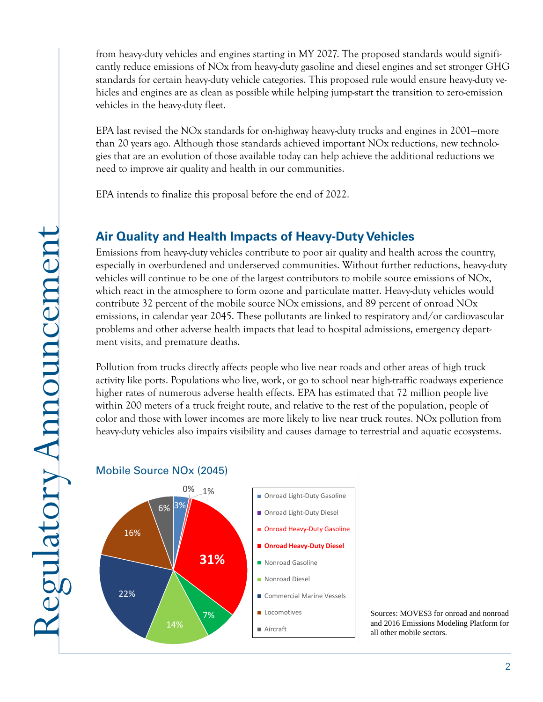from heavy-duty vehicles and engines starting in MY 2027. The proposed standards would significantly reduce emissions of NOx from heavy-duty gasoline and diesel engines and set stronger GHG standards for certain heavy-duty vehicle categories. This proposed rule would ensure heavy-duty vehicles and engines are as clean as possible while helping jump-start the transition to zero-emission vehicles in the heavy-duty fleet.

EPA last revised the NOx standards for on-highway heavy-duty trucks and engines in 2001—more than 20 years ago. Although those standards achieved important NOx reductions, new technologies that are an evolution of those available today can help achieve the additional reductions we need to improve air quality and health in our communities.

EPA intends to finalize this proposal before the end of 2022.

# **Air Quality and Health Impacts of Heavy-Duty Vehicles**

Emissions from heavy-duty vehicles contribute to poor air quality and health across the country, especially in overburdened and underserved communities. Without further reductions, heavy-duty vehicles will continue to be one of the largest contributors to mobile source emissions of NOx, which react in the atmosphere to form ozone and particulate matter. Heavy-duty vehicles would contribute 32 percent of the mobile source NOx emissions, and 89 percent of onroad NOx emissions, in calendar year 2045. These pollutants are linked to respiratory and/or cardiovascular problems and other adverse health impacts that lead to hospital admissions, emergency department visits, and premature deaths.

Pollution from trucks directly affects people who live near roads and other areas of high truck activity like ports. Populations who live, work, or go to school near high-traffic roadways experience higher rates of numerous adverse health effects. EPA has estimated that 72 million people live within 200 meters of a truck freight route, and relative to the rest of the population, people of color and those with lower incomes are more likely to live near truck routes. NOx pollution from heavy-duty vehicles also impairs visibility and causes damage to terrestrial and aquatic ecosystems.

#### Mobile Source NOx (2045)



Sources: MOVES3 for onroad and nonroad and 2016 Emissions Modeling Platform for all other mobile sectors.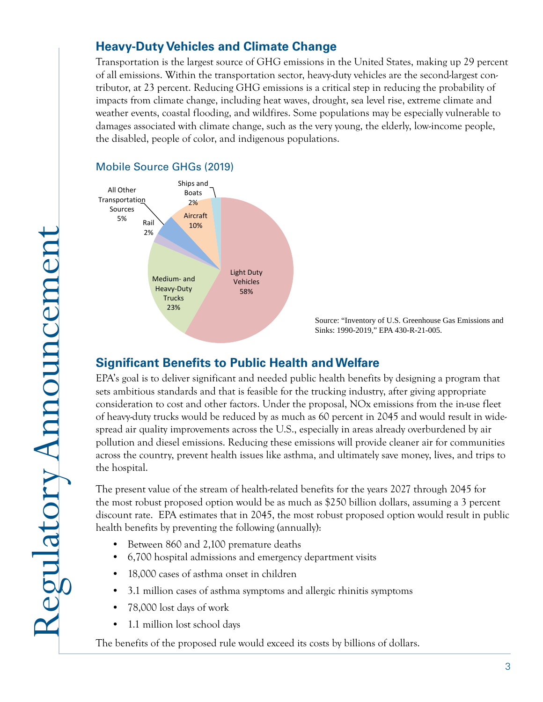## **Heavy-Duty Vehicles and Climate Change**

Transportation is the largest source of GHG emissions in the United States, making up 29 percent of all emissions. Within the transportation sector, heavy-duty vehicles are the second-largest contributor, at 23 percent. Reducing GHG emissions is a critical step in reducing the probability of impacts from climate change, including heat waves, drought, sea level rise, extreme climate and weather events, coastal flooding, and wildfires. Some populations may be especially vulnerable to damages associated with climate change, such as the very young, the elderly, low-income people, the disabled, people of color, and indigenous populations.

#### Mobile Source GHGs (2019)



Source: "Inventory of U.S. Greenhouse Gas Emissions and Sinks: 1990-2019," EPA 430-R-21-005.

# **Signifcant Benefts to Public Health and Welfare**

EPA's goal is to deliver significant and needed public health benefits by designing a program that sets ambitious standards and that is feasible for the trucking industry, after giving appropriate consideration to cost and other factors. Under the proposal, NOx emissions from the in-use fleet of heavy-duty trucks would be reduced by as much as 60 percent in 2045 and would result in widespread air quality improvements across the U.S., especially in areas already overburdened by air pollution and diesel emissions. Reducing these emissions will provide cleaner air for communities across the country, prevent health issues like asthma, and ultimately save money, lives, and trips to the hospital.

The present value of the stream of health-related benefits for the years 2027 through 2045 for the most robust proposed option would be as much as \$250 billion dollars, assuming a 3 percent discount rate. EPA estimates that in 2045, the most robust proposed option would result in public health benefits by preventing the following (annually):

- Between 860 and 2,100 premature deaths
- 6,700 hospital admissions and emergency department visits
- 18,000 cases of asthma onset in children
- 3.1 million cases of asthma symptoms and allergic rhinitis symptoms
- 78,000 lost days of work
- 1.1 million lost school days

The benefits of the proposed rule would exceed its costs by billions of dollars.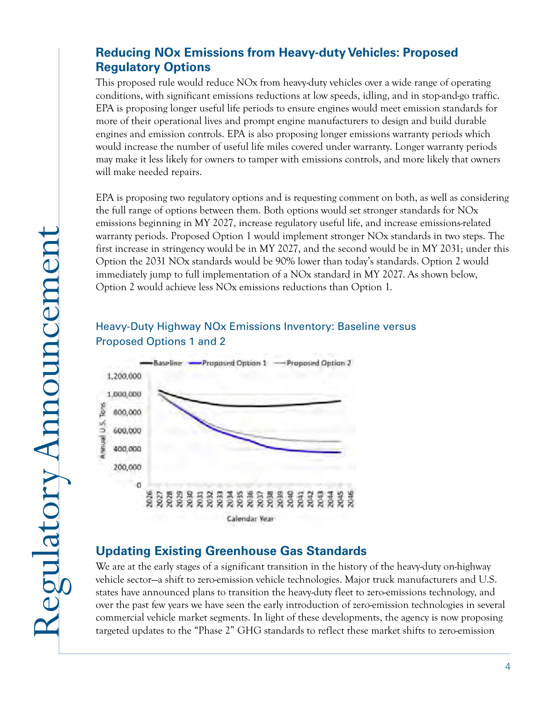## **Reducing NOx Emissions from Heavy-duty Vehicles: Proposed Regulatory Options**

This proposed rule would reduce NOx from heavy-duty vehicles over a wide range of operating conditions, with significant emissions reductions at low speeds, idling, and in stop-and-go traffic. EPA is proposing longer useful life periods to ensure engines would meet emission standards for more of their operational lives and prompt engine manufacturers to design and build durable engines and emission controls. EPA is also proposing longer emissions warranty periods which would increase the number of useful life miles covered under warranty. Longer warranty periods may make it less likely for owners to tamper with emissions controls, and more likely that owners will make needed repairs.

EPA is proposing two regulatory options and is requesting comment on both, as well as considering the full range of options between them. Both options would set stronger standards for NOx emissions beginning in MY 2027, increase regulatory useful life, and increase emissions-related warranty periods. Proposed Option 1 would implement stronger NOx standards in two steps. The first increase in stringency would be in MY 2027, and the second would be in MY 2031; under this Option the 2031 NOx standards would be 90% lower than today's standards. Option 2 would immediately jump to full implementation of a NOx standard in MY 2027. As shown below, Option 2 would achieve less NOx emissions reductions than Option 1.

#### Heavy-Duty Highway NOx Emissions Inventory: Baseline versus Proposed Options 1 and 2



## **Updating Existing Greenhouse Gas Standards**

We are at the early stages of a significant transition in the history of the heavy-duty on-highway vehicle sector—a shift to zero-emission vehicle technologies. Major truck manufacturers and U.S. states have announced plans to transition the heavy-duty fleet to zero-emissions technology, and over the past few years we have seen the early introduction of zero-emission technologies in several commercial vehicle market segments. In light of these developments, the agency is now proposing targeted updates to the "Phase 2" GHG standards to reflect these market shifts to zero-emission